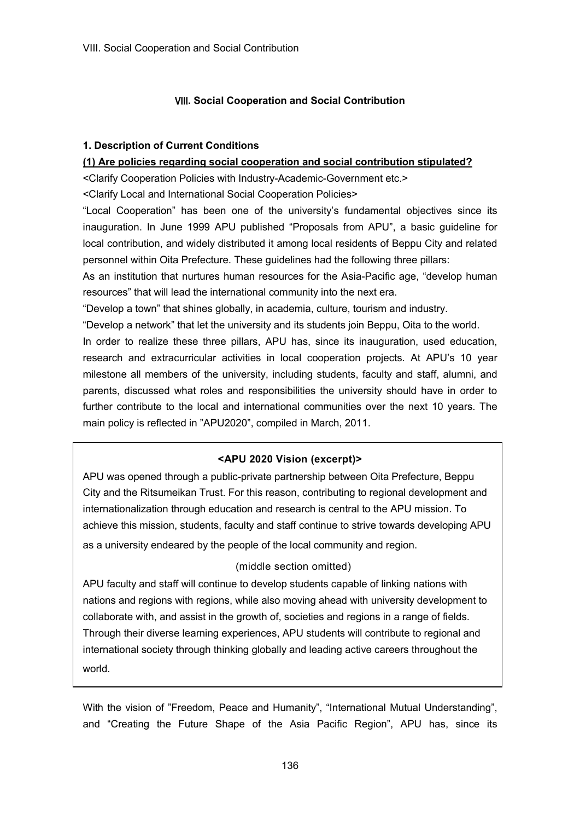# Ⅷ**. Social Cooperation and Social Contribution**

## **1. Description of Current Conditions**

## **(1) Are policies regarding social cooperation and social contribution stipulated?**

<Clarify Cooperation Policies with Industry-Academic-Government etc.>

<Clarify Local and International Social Cooperation Policies>

"Local Cooperation" has been one of the university's fundamental objectives since its inauguration. In June 1999 APU published "Proposals from APU", a basic guideline for local contribution, and widely distributed it among local residents of Beppu City and related personnel within Oita Prefecture. These guidelines had the following three pillars:

As an institution that nurtures human resources for the Asia-Pacific age, "develop human resources" that will lead the international community into the next era.

"Develop a town" that shines globally, in academia, culture, tourism and industry.

"Develop a network" that let the university and its students join Beppu, Oita to the world.

In order to realize these three pillars, APU has, since its inauguration, used education, research and extracurricular activities in local cooperation projects. At APU's 10 year milestone all members of the university, including students, faculty and staff, alumni, and parents, discussed what roles and responsibilities the university should have in order to further contribute to the local and international communities over the next 10 years. The main policy is reflected in "APU2020", compiled in March, 2011.

# **<APU 2020 Vision (excerpt)>**

APU was opened through a public-private partnership between Oita Prefecture, Beppu City and the Ritsumeikan Trust. For this reason, contributing to regional development and internationalization through education and research is central to the APU mission. To achieve this mission, students, faculty and staff continue to strive towards developing APU as a university endeared by the people of the local community and region.

# (middle section omitted)

APU faculty and staff will continue to develop students capable of linking nations with nations and regions with regions, while also moving ahead with university development to collaborate with, and assist in the growth of, societies and regions in a range of fields. Through their diverse learning experiences, APU students will contribute to regional and international society through thinking globally and leading active careers throughout the world.

With the vision of "Freedom, Peace and Humanity", "International Mutual Understanding", and "Creating the Future Shape of the Asia Pacific Region", APU has, since its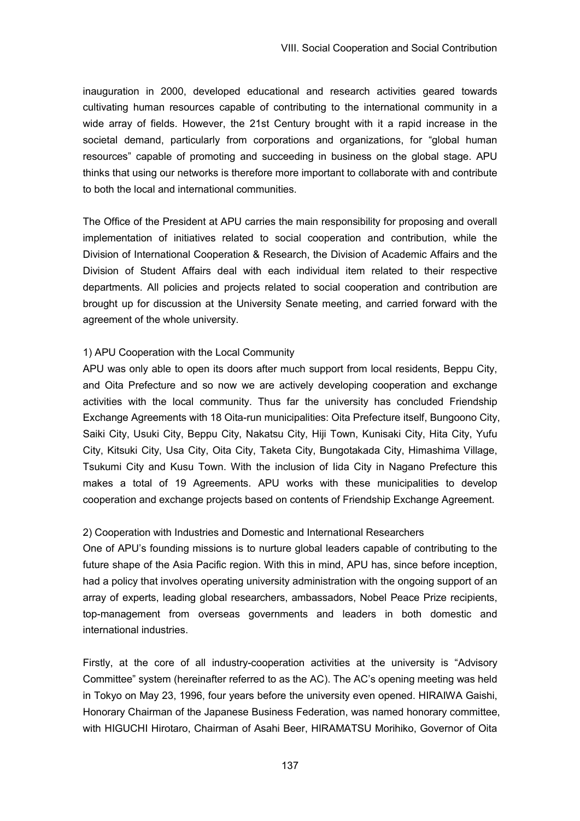inauguration in 2000, developed educational and research activities geared towards cultivating human resources capable of contributing to the international community in a wide array of fields. However, the 21st Century brought with it a rapid increase in the societal demand, particularly from corporations and organizations, for "global human resources" capable of promoting and succeeding in business on the global stage. APU thinks that using our networks is therefore more important to collaborate with and contribute to both the local and international communities.

The Office of the President at APU carries the main responsibility for proposing and overall implementation of initiatives related to social cooperation and contribution, while the Division of International Cooperation & Research, the Division of Academic Affairs and the Division of Student Affairs deal with each individual item related to their respective departments. All policies and projects related to social cooperation and contribution are brought up for discussion at the University Senate meeting, and carried forward with the agreement of the whole university.

#### 1) APU Cooperation with the Local Community

APU was only able to open its doors after much support from local residents, Beppu City, and Oita Prefecture and so now we are actively developing cooperation and exchange activities with the local community. Thus far the university has concluded Friendship Exchange Agreements with 18 Oita-run municipalities: Oita Prefecture itself, Bungoono City, Saiki City, Usuki City, Beppu City, Nakatsu City, Hiji Town, Kunisaki City, Hita City, Yufu City, Kitsuki City, Usa City, Oita City, Taketa City, Bungotakada City, Himashima Village, Tsukumi City and Kusu Town. With the inclusion of Iida City in Nagano Prefecture this makes a total of 19 Agreements. APU works with these municipalities to develop cooperation and exchange projects based on contents of Friendship Exchange Agreement.

#### 2) Cooperation with Industries and Domestic and International Researchers

One of APU's founding missions is to nurture global leaders capable of contributing to the future shape of the Asia Pacific region. With this in mind, APU has, since before inception, had a policy that involves operating university administration with the ongoing support of an array of experts, leading global researchers, ambassadors, Nobel Peace Prize recipients, top-management from overseas governments and leaders in both domestic and international industries.

Firstly, at the core of all industry-cooperation activities at the university is "Advisory Committee" system (hereinafter referred to as the AC). The AC's opening meeting was held in Tokyo on May 23, 1996, four years before the university even opened. HIRAIWA Gaishi, Honorary Chairman of the Japanese Business Federation, was named honorary committee, with HIGUCHI Hirotaro, Chairman of Asahi Beer, HIRAMATSU Morihiko, Governor of Oita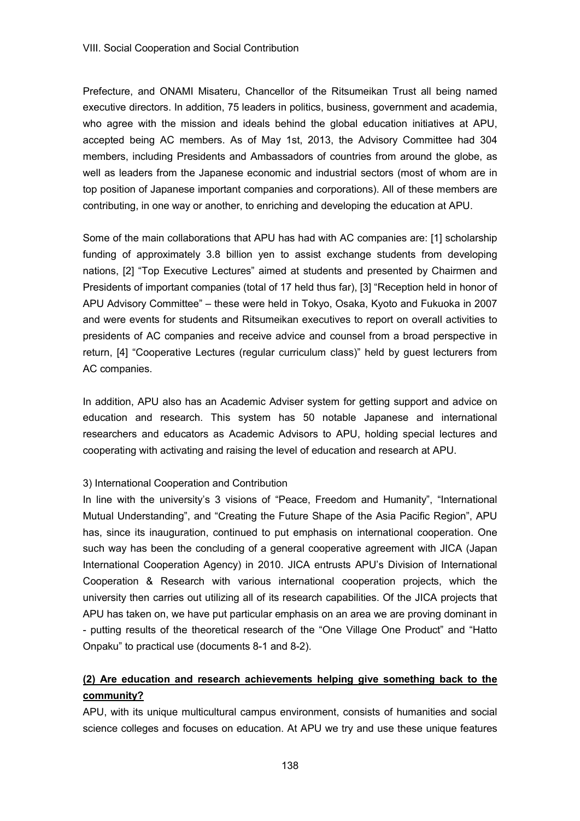Prefecture, and ONAMI Misateru, Chancellor of the Ritsumeikan Trust all being named executive directors. In addition, 75 leaders in politics, business, government and academia, who agree with the mission and ideals behind the global education initiatives at APU, accepted being AC members. As of May 1st, 2013, the Advisory Committee had 304 members, including Presidents and Ambassadors of countries from around the globe, as well as leaders from the Japanese economic and industrial sectors (most of whom are in top position of Japanese important companies and corporations). All of these members are contributing, in one way or another, to enriching and developing the education at APU.

Some of the main collaborations that APU has had with AC companies are: [1] scholarship funding of approximately 3.8 billion yen to assist exchange students from developing nations, [2] "Top Executive Lectures" aimed at students and presented by Chairmen and Presidents of important companies (total of 17 held thus far), [3] "Reception held in honor of APU Advisory Committee" – these were held in Tokyo, Osaka, Kyoto and Fukuoka in 2007 and were events for students and Ritsumeikan executives to report on overall activities to presidents of AC companies and receive advice and counsel from a broad perspective in return, [4] "Cooperative Lectures (regular curriculum class)" held by guest lecturers from AC companies.

In addition, APU also has an Academic Adviser system for getting support and advice on education and research. This system has 50 notable Japanese and international researchers and educators as Academic Advisors to APU, holding special lectures and cooperating with activating and raising the level of education and research at APU.

### 3) International Cooperation and Contribution

In line with the university's 3 visions of "Peace, Freedom and Humanity", "International Mutual Understanding", and "Creating the Future Shape of the Asia Pacific Region", APU has, since its inauguration, continued to put emphasis on international cooperation. One such way has been the concluding of a general cooperative agreement with JICA (Japan International Cooperation Agency) in 2010. JICA entrusts APU's Division of International Cooperation & Research with various international cooperation projects, which the university then carries out utilizing all of its research capabilities. Of the JICA projects that APU has taken on, we have put particular emphasis on an area we are proving dominant in - putting results of the theoretical research of the "One Village One Product" and "Hatto Onpaku" to practical use (documents 8-1 and 8-2).

# **(2) Are education and research achievements helping give something back to the community?**

APU, with its unique multicultural campus environment, consists of humanities and social science colleges and focuses on education. At APU we try and use these unique features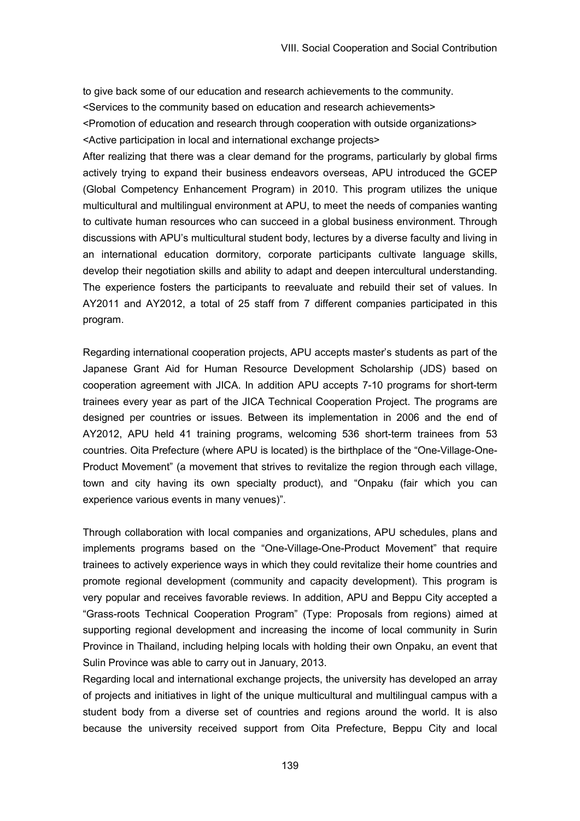to give back some of our education and research achievements to the community. <Services to the community based on education and research achievements> <Promotion of education and research through cooperation with outside organizations>

<Active participation in local and international exchange projects>

After realizing that there was a clear demand for the programs, particularly by global firms actively trying to expand their business endeavors overseas, APU introduced the GCEP (Global Competency Enhancement Program) in 2010. This program utilizes the unique multicultural and multilingual environment at APU, to meet the needs of companies wanting to cultivate human resources who can succeed in a global business environment. Through discussions with APU's multicultural student body, lectures by a diverse faculty and living in an international education dormitory, corporate participants cultivate language skills, develop their negotiation skills and ability to adapt and deepen intercultural understanding. The experience fosters the participants to reevaluate and rebuild their set of values. In AY2011 and AY2012, a total of 25 staff from 7 different companies participated in this program.

Regarding international cooperation projects, APU accepts master's students as part of the Japanese Grant Aid for Human Resource Development Scholarship (JDS) based on cooperation agreement with JICA. In addition APU accepts 7-10 programs for short-term trainees every year as part of the JICA Technical Cooperation Project. The programs are designed per countries or issues. Between its implementation in 2006 and the end of AY2012, APU held 41 training programs, welcoming 536 short-term trainees from 53 countries. Oita Prefecture (where APU is located) is the birthplace of the "One-Village-One-Product Movement" (a movement that strives to revitalize the region through each village, town and city having its own specialty product), and "Onpaku (fair which you can experience various events in many venues)".

Through collaboration with local companies and organizations, APU schedules, plans and implements programs based on the "One-Village-One-Product Movement" that require trainees to actively experience ways in which they could revitalize their home countries and promote regional development (community and capacity development). This program is very popular and receives favorable reviews. In addition, APU and Beppu City accepted a "Grass-roots Technical Cooperation Program" (Type: Proposals from regions) aimed at supporting regional development and increasing the income of local community in Surin Province in Thailand, including helping locals with holding their own Onpaku, an event that Sulin Province was able to carry out in January, 2013.

Regarding local and international exchange projects, the university has developed an array of projects and initiatives in light of the unique multicultural and multilingual campus with a student body from a diverse set of countries and regions around the world. It is also because the university received support from Oita Prefecture, Beppu City and local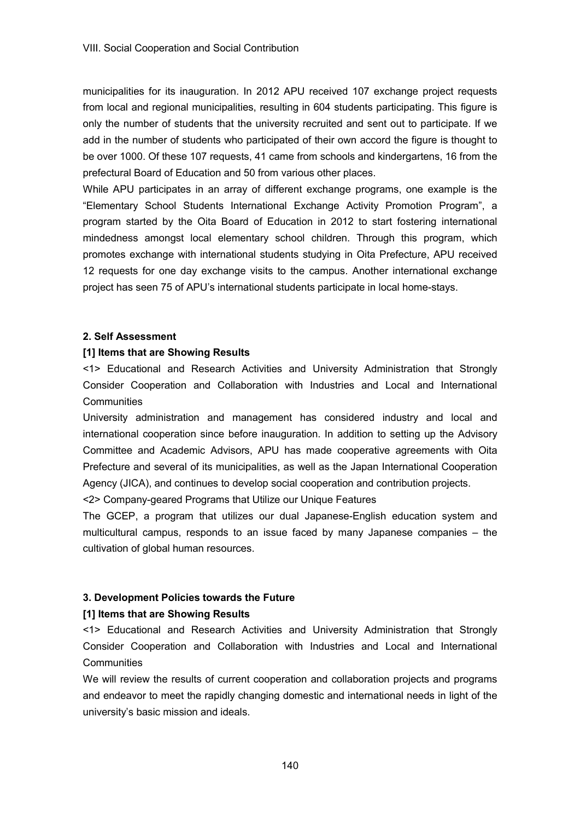municipalities for its inauguration. In 2012 APU received 107 exchange project requests from local and regional municipalities, resulting in 604 students participating. This figure is only the number of students that the university recruited and sent out to participate. If we add in the number of students who participated of their own accord the figure is thought to be over 1000. Of these 107 requests, 41 came from schools and kindergartens, 16 from the prefectural Board of Education and 50 from various other places.

While APU participates in an array of different exchange programs, one example is the "Elementary School Students International Exchange Activity Promotion Program", a program started by the Oita Board of Education in 2012 to start fostering international mindedness amongst local elementary school children. Through this program, which promotes exchange with international students studying in Oita Prefecture, APU received 12 requests for one day exchange visits to the campus. Another international exchange project has seen 75 of APU's international students participate in local home-stays.

#### **2. Self Assessment**

#### **[1] Items that are Showing Results**

<1> Educational and Research Activities and University Administration that Strongly Consider Cooperation and Collaboration with Industries and Local and International **Communities** 

University administration and management has considered industry and local and international cooperation since before inauguration. In addition to setting up the Advisory Committee and Academic Advisors, APU has made cooperative agreements with Oita Prefecture and several of its municipalities, as well as the Japan International Cooperation Agency (JICA), and continues to develop social cooperation and contribution projects.

<2> Company-geared Programs that Utilize our Unique Features

The GCEP, a program that utilizes our dual Japanese-English education system and multicultural campus, responds to an issue faced by many Japanese companies – the cultivation of global human resources.

### **3. Development Policies towards the Future**

### **[1] Items that are Showing Results**

<1> Educational and Research Activities and University Administration that Strongly Consider Cooperation and Collaboration with Industries and Local and International **Communities** 

We will review the results of current cooperation and collaboration projects and programs and endeavor to meet the rapidly changing domestic and international needs in light of the university's basic mission and ideals.